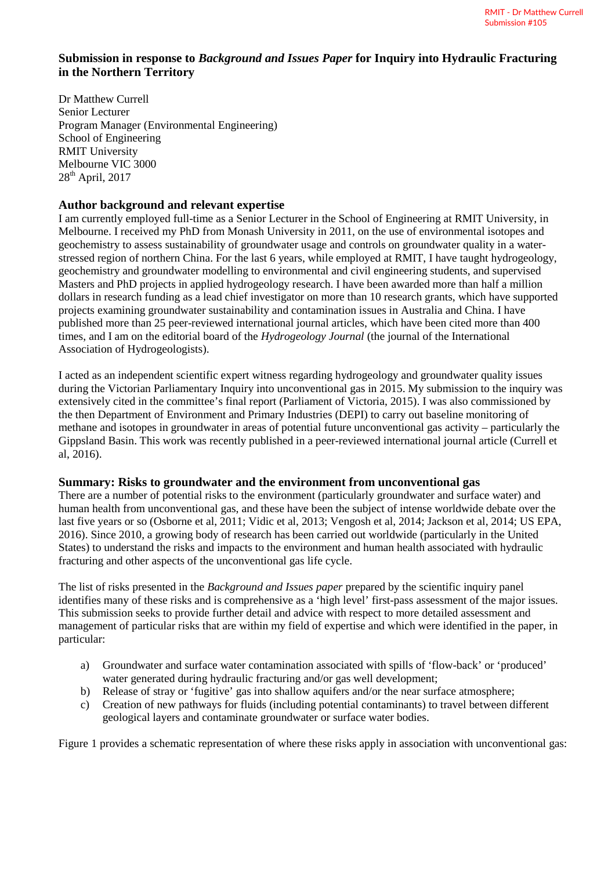### **Submission in response to** *Background and Issues Paper* **for Inquiry into Hydraulic Fracturing in the Northern Territory**

Dr Matthew Currell Senior Lecturer Program Manager (Environmental Engineering) School of Engineering RMIT University Melbourne VIC 3000  $28<sup>th</sup>$  April, 2017

### **Author background and relevant expertise**

I am currently employed full-time as a Senior Lecturer in the School of Engineering at RMIT University, in Melbourne. I received my PhD from Monash University in 2011, on the use of environmental isotopes and geochemistry to assess sustainability of groundwater usage and controls on groundwater quality in a waterstressed region of northern China. For the last 6 years, while employed at RMIT, I have taught hydrogeology, geochemistry and groundwater modelling to environmental and civil engineering students, and supervised Masters and PhD projects in applied hydrogeology research. I have been awarded more than half a million dollars in research funding as a lead chief investigator on more than 10 research grants, which have supported projects examining groundwater sustainability and contamination issues in Australia and China. I have published more than 25 peer-reviewed international journal articles, which have been cited more than 400 times, and I am on the editorial board of the *Hydrogeology Journal* (the journal of the International Association of Hydrogeologists).

I acted as an independent scientific expert witness regarding hydrogeology and groundwater quality issues during the Victorian Parliamentary Inquiry into unconventional gas in 2015. My submission to the inquiry was extensively cited in the committee's final report (Parliament of Victoria, 2015). I was also commissioned by the then Department of Environment and Primary Industries (DEPI) to carry out baseline monitoring of methane and isotopes in groundwater in areas of potential future unconventional gas activity – particularly the Gippsland Basin. This work was recently published in a peer-reviewed international journal article (Currell et al, 2016).

### **Summary: Risks to groundwater and the environment from unconventional gas**

There are a number of potential risks to the environment (particularly groundwater and surface water) and human health from unconventional gas, and these have been the subject of intense worldwide debate over the last five years or so (Osborne et al, 2011; Vidic et al, 2013; Vengosh et al, 2014; Jackson et al, 2014; US EPA, 2016). Since 2010, a growing body of research has been carried out worldwide (particularly in the United States) to understand the risks and impacts to the environment and human health associated with hydraulic fracturing and other aspects of the unconventional gas life cycle.

The list of risks presented in the *Background and Issues paper* prepared by the scientific inquiry panel identifies many of these risks and is comprehensive as a 'high level' first-pass assessment of the major issues. This submission seeks to provide further detail and advice with respect to more detailed assessment and management of particular risks that are within my field of expertise and which were identified in the paper, in particular:

- a) Groundwater and surface water contamination associated with spills of 'flow-back' or 'produced' water generated during hydraulic fracturing and/or gas well development:
- b) Release of stray or 'fugitive' gas into shallow aquifers and/or the near surface atmosphere;
- c) Creation of new pathways for fluids (including potential contaminants) to travel between different geological layers and contaminate groundwater or surface water bodies.

Figure 1 provides a schematic representation of where these risks apply in association with unconventional gas: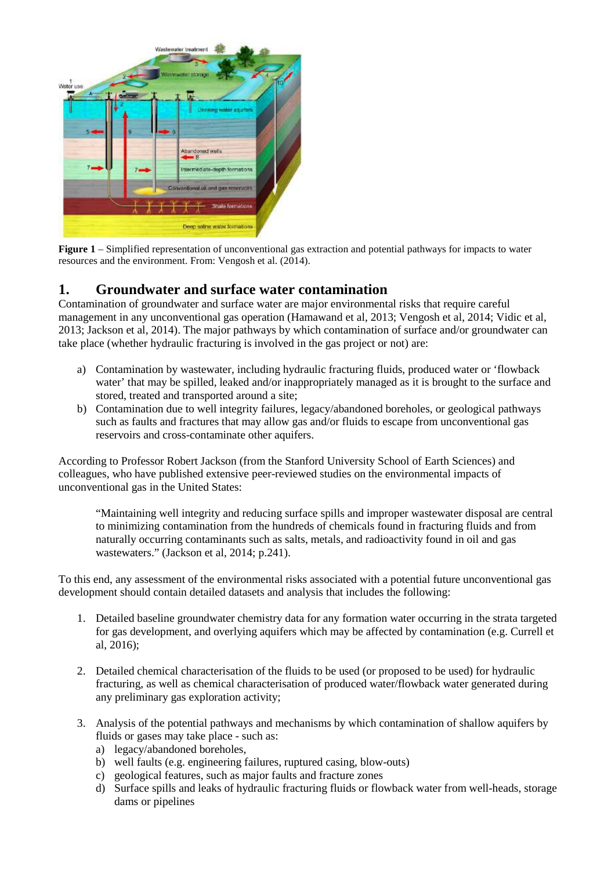

**Figure 1** – Simplified representation of unconventional gas extraction and potential pathways for impacts to water resources and the environment. From: Vengosh et al. (2014).

## **1. Groundwater and surface water contamination**

Contamination of groundwater and surface water are major environmental risks that require careful management in any unconventional gas operation (Hamawand et al, 2013; Vengosh et al, 2014; Vidic et al, 2013; Jackson et al, 2014). The major pathways by which contamination of surface and/or groundwater can take place (whether hydraulic fracturing is involved in the gas project or not) are:

- a) Contamination by wastewater, including hydraulic fracturing fluids, produced water or 'flowback water' that may be spilled, leaked and/or inappropriately managed as it is brought to the surface and stored, treated and transported around a site;
- b) Contamination due to well integrity failures, legacy/abandoned boreholes, or geological pathways such as faults and fractures that may allow gas and/or fluids to escape from unconventional gas reservoirs and cross-contaminate other aquifers.

According to Professor Robert Jackson (from the Stanford University School of Earth Sciences) and colleagues, who have published extensive peer-reviewed studies on the environmental impacts of unconventional gas in the United States:

"Maintaining well integrity and reducing surface spills and improper wastewater disposal are central to minimizing contamination from the hundreds of chemicals found in fracturing fluids and from naturally occurring contaminants such as salts, metals, and radioactivity found in oil and gas wastewaters." (Jackson et al, 2014; p.241).

To this end, any assessment of the environmental risks associated with a potential future unconventional gas development should contain detailed datasets and analysis that includes the following:

- 1. Detailed baseline groundwater chemistry data for any formation water occurring in the strata targeted for gas development, and overlying aquifers which may be affected by contamination (e.g. Currell et al, 2016);
- 2. Detailed chemical characterisation of the fluids to be used (or proposed to be used) for hydraulic fracturing, as well as chemical characterisation of produced water/flowback water generated during any preliminary gas exploration activity;
- 3. Analysis of the potential pathways and mechanisms by which contamination of shallow aquifers by fluids or gases may take place - such as:
	- a) legacy/abandoned boreholes,
	- b) well faults (e.g. engineering failures, ruptured casing, blow-outs)
	- c) geological features, such as major faults and fracture zones
	- d) Surface spills and leaks of hydraulic fracturing fluids or flowback water from well-heads, storage dams or pipelines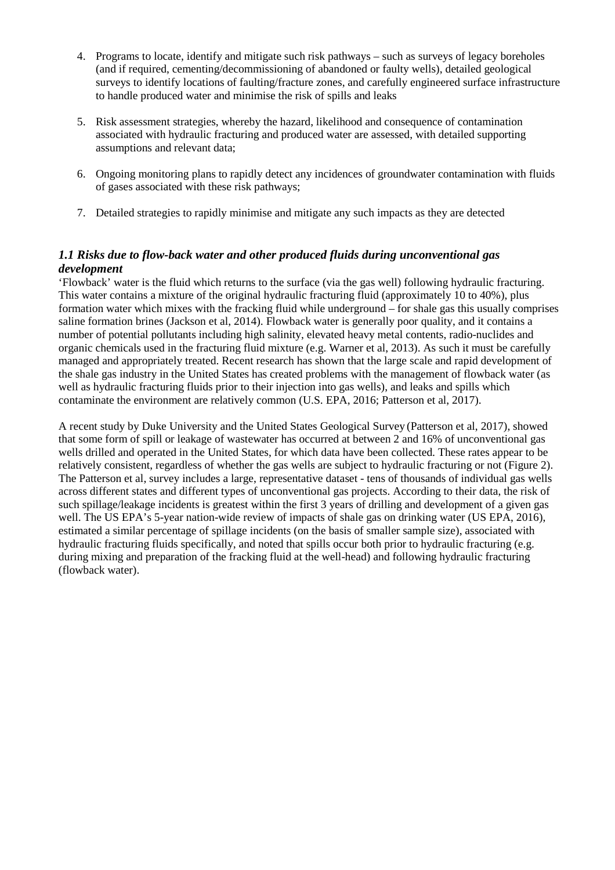- 4. Programs to locate, identify and mitigate such risk pathways such as surveys of legacy boreholes (and if required, cementing/decommissioning of abandoned or faulty wells), detailed geological surveys to identify locations of faulting/fracture zones, and carefully engineered surface infrastructure to handle produced water and minimise the risk of spills and leaks
- 5. Risk assessment strategies, whereby the hazard, likelihood and consequence of contamination associated with hydraulic fracturing and produced water are assessed, with detailed supporting assumptions and relevant data;
- 6. Ongoing monitoring plans to rapidly detect any incidences of groundwater contamination with fluids of gases associated with these risk pathways;
- 7. Detailed strategies to rapidly minimise and mitigate any such impacts as they are detected

## *1.1 Risks due to flow-back water and other produced fluids during unconventional gas development*

'Flowback' water is the fluid which returns to the surface (via the gas well) following hydraulic fracturing. This water contains a mixture of the original hydraulic fracturing fluid (approximately 10 to 40%), plus formation water which mixes with the fracking fluid while underground – for shale gas this usually comprises saline formation brines (Jackson et al, 2014). Flowback water is generally poor quality, and it contains a number of potential pollutants including high salinity, elevated heavy metal contents, radio-nuclides and organic chemicals used in the fracturing fluid mixture (e.g. Warner et al, 2013). As such it must be carefully managed and appropriately treated. Recent research has shown that the large scale and rapid development of the shale gas industry in the United States has created problems with the management of flowback water (as well as hydraulic fracturing fluids prior to their injection into gas wells), and leaks and spills which contaminate the environment are relatively common (U.S. EPA, 2016; Patterson et al, 2017).

A recent study by Duke University and the United States Geological Survey (Patterson et al, 2017), showed that some form of spill or leakage of wastewater has occurred at between 2 and 16% of unconventional gas wells drilled and operated in the United States, for which data have been collected. These rates appear to be relatively consistent, regardless of whether the gas wells are subject to hydraulic fracturing or not (Figure 2). The Patterson et al, survey includes a large, representative dataset - tens of thousands of individual gas wells across different states and different types of unconventional gas projects. According to their data, the risk of such spillage/leakage incidents is greatest within the first 3 years of drilling and development of a given gas well. The US EPA's 5-year nation-wide review of impacts of shale gas on drinking water (US EPA, 2016), estimated a similar percentage of spillage incidents (on the basis of smaller sample size), associated with hydraulic fracturing fluids specifically, and noted that spills occur both prior to hydraulic fracturing (e.g. during mixing and preparation of the fracking fluid at the well-head) and following hydraulic fracturing (flowback water).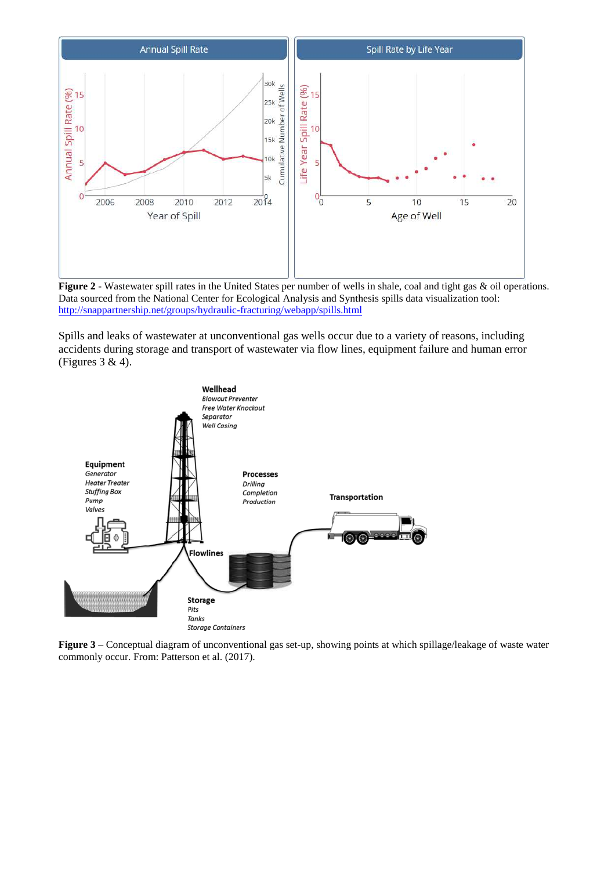

**Figure 2** - Wastewater spill rates in the United States per number of wells in shale, coal and tight gas & oil operations. Data sourced from the National Center for Ecological Analysis and Synthesis spills data visualization tool: http://snappartnership.net/groups/hydraulic-fracturing/webapp/spills.html

Spills and leaks of wastewater at unconventional gas wells occur due to a variety of reasons, including accidents during storage and transport of wastewater via flow lines, equipment failure and human error (Figures 3 & 4).



**Figure 3** – Conceptual diagram of unconventional gas set-up, showing points at which spillage/leakage of waste water commonly occur. From: Patterson et al. (2017).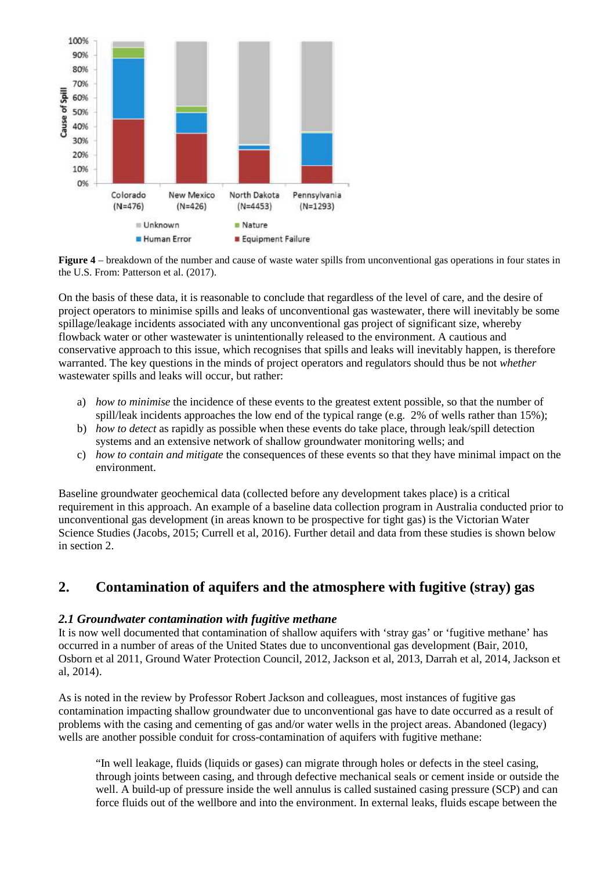

**Figure 4** – breakdown of the number and cause of waste water spills from unconventional gas operations in four states in the U.S. From: Patterson et al. (2017).

On the basis of these data, it is reasonable to conclude that regardless of the level of care, and the desire of project operators to minimise spills and leaks of unconventional gas wastewater, there will inevitably be some spillage/leakage incidents associated with any unconventional gas project of significant size, whereby flowback water or other wastewater is unintentionally released to the environment. A cautious and conservative approach to this issue, which recognises that spills and leaks will inevitably happen, is therefore warranted. The key questions in the minds of project operators and regulators should thus be not *whether* wastewater spills and leaks will occur, but rather:

- a) *how to minimise* the incidence of these events to the greatest extent possible, so that the number of spill/leak incidents approaches the low end of the typical range (e.g. 2% of wells rather than 15%);
- b) *how to detect* as rapidly as possible when these events do take place, through leak/spill detection systems and an extensive network of shallow groundwater monitoring wells; and
- c) *how to contain and mitigate* the consequences of these events so that they have minimal impact on the environment.

Baseline groundwater geochemical data (collected before any development takes place) is a critical requirement in this approach. An example of a baseline data collection program in Australia conducted prior to unconventional gas development (in areas known to be prospective for tight gas) is the Victorian Water Science Studies (Jacobs, 2015; Currell et al, 2016). Further detail and data from these studies is shown below in section 2.

# **2. Contamination of aquifers and the atmosphere with fugitive (stray) gas**

### *2.1 Groundwater contamination with fugitive methane*

It is now well documented that contamination of shallow aquifers with 'stray gas' or 'fugitive methane' has occurred in a number of areas of the United States due to unconventional gas development (Bair, 2010, Osborn et al 2011, Ground Water Protection Council, 2012, Jackson et al, 2013, Darrah et al, 2014, Jackson et al, 2014).

As is noted in the review by Professor Robert Jackson and colleagues, most instances of fugitive gas contamination impacting shallow groundwater due to unconventional gas have to date occurred as a result of problems with the casing and cementing of gas and/or water wells in the project areas. Abandoned (legacy) wells are another possible conduit for cross-contamination of aquifers with fugitive methane:

"In well leakage, fluids (liquids or gases) can migrate through holes or defects in the steel casing, through joints between casing, and through defective mechanical seals or cement inside or outside the well. A build-up of pressure inside the well annulus is called sustained casing pressure (SCP) and can force fluids out of the wellbore and into the environment. In external leaks, fluids escape between the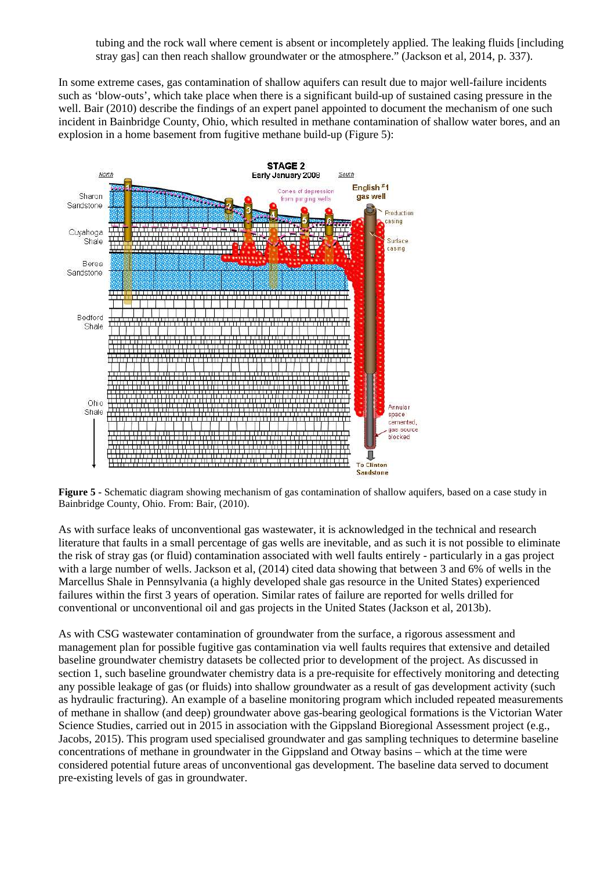tubing and the rock wall where cement is absent or incompletely applied. The leaking fluids [including stray gas] can then reach shallow groundwater or the atmosphere." (Jackson et al, 2014, p. 337).

In some extreme cases, gas contamination of shallow aquifers can result due to major well-failure incidents such as 'blow-outs', which take place when there is a significant build-up of sustained casing pressure in the well. Bair (2010) describe the findings of an expert panel appointed to document the mechanism of one such incident in Bainbridge County, Ohio, which resulted in methane contamination of shallow water bores, and an explosion in a home basement from fugitive methane build-up (Figure 5):



**Figure 5 -** Schematic diagram showing mechanism of gas contamination of shallow aquifers, based on a case study in Bainbridge County, Ohio. From: Bair, (2010).

As with surface leaks of unconventional gas wastewater, it is acknowledged in the technical and research literature that faults in a small percentage of gas wells are inevitable, and as such it is not possible to eliminate the risk of stray gas (or fluid) contamination associated with well faults entirely - particularly in a gas project with a large number of wells. Jackson et al, (2014) cited data showing that between 3 and 6% of wells in the Marcellus Shale in Pennsylvania (a highly developed shale gas resource in the United States) experienced failures within the first 3 years of operation. Similar rates of failure are reported for wells drilled for conventional or unconventional oil and gas projects in the United States (Jackson et al, 2013b).

As with CSG wastewater contamination of groundwater from the surface, a rigorous assessment and management plan for possible fugitive gas contamination via well faults requires that extensive and detailed baseline groundwater chemistry datasets be collected prior to development of the project. As discussed in section 1, such baseline groundwater chemistry data is a pre-requisite for effectively monitoring and detecting any possible leakage of gas (or fluids) into shallow groundwater as a result of gas development activity (such as hydraulic fracturing). An example of a baseline monitoring program which included repeated measurements of methane in shallow (and deep) groundwater above gas-bearing geological formations is the Victorian Water Science Studies, carried out in 2015 in association with the Gippsland Bioregional Assessment project (e.g., Jacobs, 2015). This program used specialised groundwater and gas sampling techniques to determine baseline concentrations of methane in groundwater in the Gippsland and Otway basins – which at the time were considered potential future areas of unconventional gas development. The baseline data served to document pre-existing levels of gas in groundwater.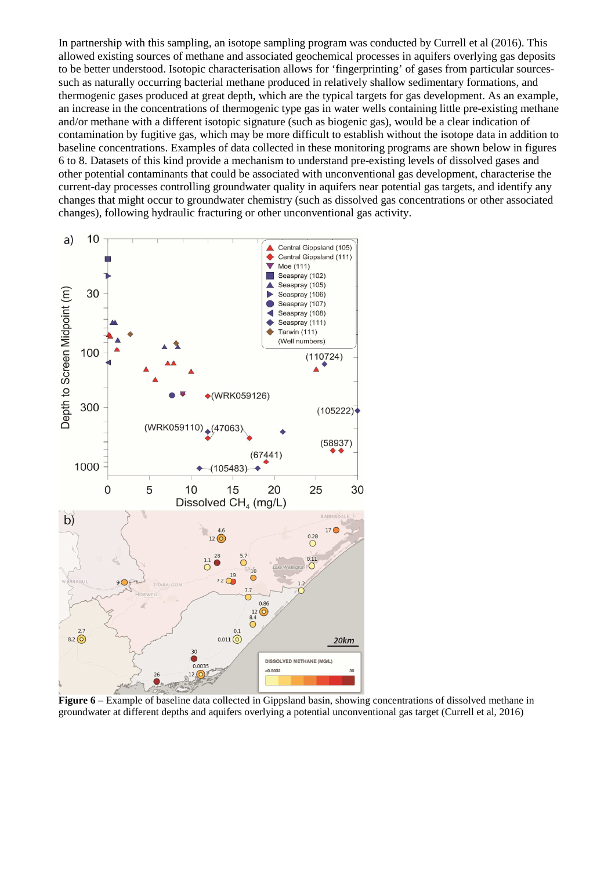In partnership with this sampling, an isotope sampling program was conducted by Currell et al (2016). This allowed existing sources of methane and associated geochemical processes in aquifers overlying gas deposits to be better understood. Isotopic characterisation allows for 'fingerprinting' of gases from particular sourcessuch as naturally occurring bacterial methane produced in relatively shallow sedimentary formations, and thermogenic gases produced at great depth, which are the typical targets for gas development. As an example, an increase in the concentrations of thermogenic type gas in water wells containing little pre-existing methane and/or methane with a different isotopic signature (such as biogenic gas), would be a clear indication of contamination by fugitive gas, which may be more difficult to establish without the isotope data in addition to baseline concentrations. Examples of data collected in these monitoring programs are shown below in figures 6 to 8. Datasets of this kind provide a mechanism to understand pre-existing levels of dissolved gases and other potential contaminants that could be associated with unconventional gas development, characterise the current-day processes controlling groundwater quality in aquifers near potential gas targets, and identify any changes that might occur to groundwater chemistry (such as dissolved gas concentrations or other associated changes), following hydraulic fracturing or other unconventional gas activity.



**Figure 6** – Example of baseline data collected in Gippsland basin, showing concentrations of dissolved methane in groundwater at different depths and aquifers overlying a potential unconventional gas target (Currell et al, 2016)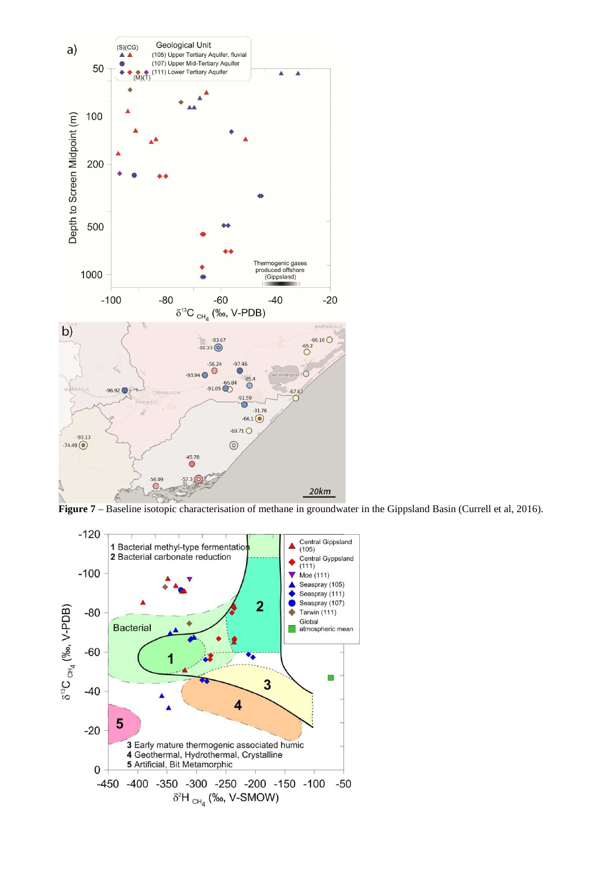



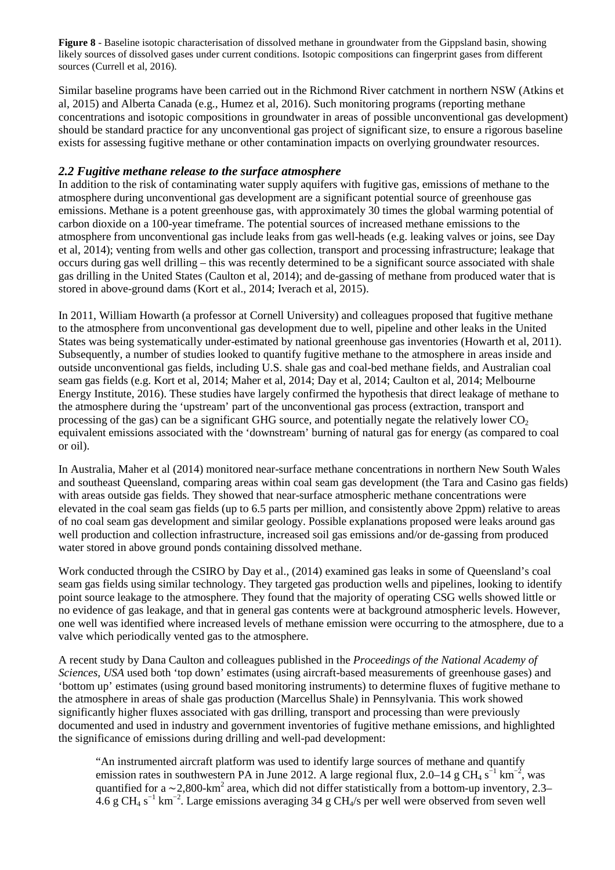**Figure 8** - Baseline isotopic characterisation of dissolved methane in groundwater from the Gippsland basin, showing likely sources of dissolved gases under current conditions. Isotopic compositions can fingerprint gases from different sources (Currell et al, 2016).

Similar baseline programs have been carried out in the Richmond River catchment in northern NSW (Atkins et al, 2015) and Alberta Canada (e.g., Humez et al, 2016). Such monitoring programs (reporting methane concentrations and isotopic compositions in groundwater in areas of possible unconventional gas development) should be standard practice for any unconventional gas project of significant size, to ensure a rigorous baseline exists for assessing fugitive methane or other contamination impacts on overlying groundwater resources.

### *2.2 Fugitive methane release to the surface atmosphere*

In addition to the risk of contaminating water supply aquifers with fugitive gas, emissions of methane to the atmosphere during unconventional gas development are a significant potential source of greenhouse gas emissions. Methane is a potent greenhouse gas, with approximately 30 times the global warming potential of carbon dioxide on a 100-year timeframe. The potential sources of increased methane emissions to the atmosphere from unconventional gas include leaks from gas well-heads (e.g. leaking valves or joins, see Day et al, 2014); venting from wells and other gas collection, transport and processing infrastructure; leakage that occurs during gas well drilling – this was recently determined to be a significant source associated with shale gas drilling in the United States (Caulton et al, 2014); and de-gassing of methane from produced water that is stored in above-ground dams (Kort et al., 2014; Iverach et al, 2015).

In 2011, William Howarth (a professor at Cornell University) and colleagues proposed that fugitive methane to the atmosphere from unconventional gas development due to well, pipeline and other leaks in the United States was being systematically under-estimated by national greenhouse gas inventories (Howarth et al, 2011). Subsequently, a number of studies looked to quantify fugitive methane to the atmosphere in areas inside and outside unconventional gas fields, including U.S. shale gas and coal-bed methane fields, and Australian coal seam gas fields (e.g. Kort et al, 2014; Maher et al, 2014; Day et al, 2014; Caulton et al, 2014; Melbourne Energy Institute, 2016). These studies have largely confirmed the hypothesis that direct leakage of methane to the atmosphere during the 'upstream' part of the unconventional gas process (extraction, transport and processing of the gas) can be a significant GHG source, and potentially negate the relatively lower  $CO<sub>2</sub>$ equivalent emissions associated with the 'downstream' burning of natural gas for energy (as compared to coal or oil).

In Australia, Maher et al (2014) monitored near-surface methane concentrations in northern New South Wales and southeast Queensland, comparing areas within coal seam gas development (the Tara and Casino gas fields) with areas outside gas fields. They showed that near-surface atmospheric methane concentrations were elevated in the coal seam gas fields (up to 6.5 parts per million, and consistently above 2ppm) relative to areas of no coal seam gas development and similar geology. Possible explanations proposed were leaks around gas well production and collection infrastructure, increased soil gas emissions and/or de-gassing from produced water stored in above ground ponds containing dissolved methane.

Work conducted through the CSIRO by Day et al., (2014) examined gas leaks in some of Queensland's coal seam gas fields using similar technology. They targeted gas production wells and pipelines, looking to identify point source leakage to the atmosphere. They found that the majority of operating CSG wells showed little or no evidence of gas leakage, and that in general gas contents were at background atmospheric levels. However, one well was identified where increased levels of methane emission were occurring to the atmosphere, due to a valve which periodically vented gas to the atmosphere.

A recent study by Dana Caulton and colleagues published in the *Proceedings of the National Academy of Sciences, USA* used both 'top down' estimates (using aircraft-based measurements of greenhouse gases) and 'bottom up' estimates (using ground based monitoring instruments) to determine fluxes of fugitive methane to the atmosphere in areas of shale gas production (Marcellus Shale) in Pennsylvania. This work showed significantly higher fluxes associated with gas drilling, transport and processing than were previously documented and used in industry and government inventories of fugitive methane emissions, and highlighted the significance of emissions during drilling and well-pad development:

"An instrumented aircraft platform was used to identify large sources of methane and quantify emission rates in southwestern PA in June 2012. A large regional flux, 2.0–14 g CH<sub>4</sub> s<sup>-1</sup> km<sup>-2</sup>, was quantified for a ~2,800-km<sup>2</sup> area, which did not differ statistically from a bottom-up inventory, 2.3–  $4.6 \text{ g } CH_4 \text{ s}^{-1} \text{ km}^{-2}$ . Large emissions averaging 34 g CH<sub>4</sub>/s per well were observed from seven well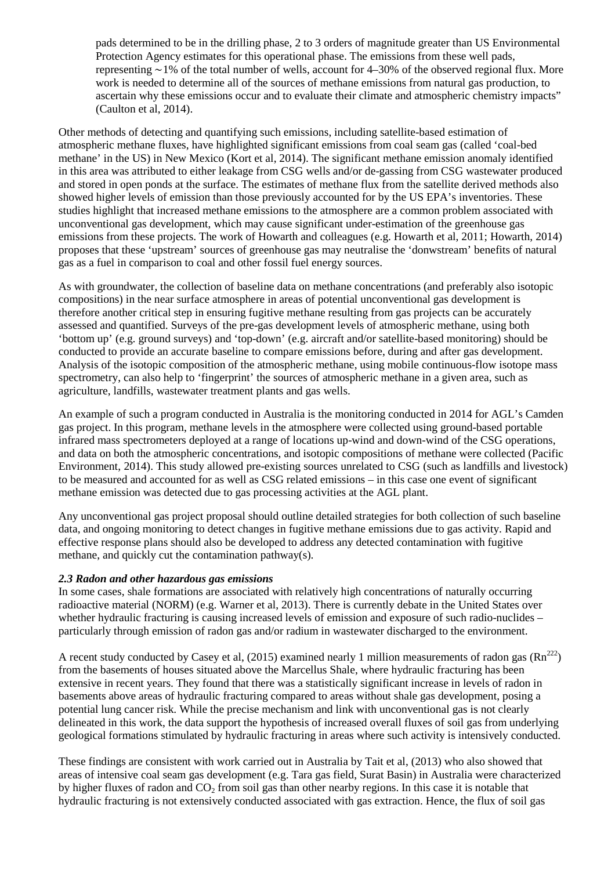pads determined to be in the drilling phase, 2 to 3 orders of magnitude greater than US Environmental Protection Agency estimates for this operational phase. The emissions from these well pads, representing ∼1% of the total number of wells, account for 4–30% of the observed regional flux. More work is needed to determine all of the sources of methane emissions from natural gas production, to ascertain why these emissions occur and to evaluate their climate and atmospheric chemistry impacts" (Caulton et al, 2014).

Other methods of detecting and quantifying such emissions, including satellite-based estimation of atmospheric methane fluxes, have highlighted significant emissions from coal seam gas (called 'coal-bed methane' in the US) in New Mexico (Kort et al, 2014). The significant methane emission anomaly identified in this area was attributed to either leakage from CSG wells and/or de-gassing from CSG wastewater produced and stored in open ponds at the surface. The estimates of methane flux from the satellite derived methods also showed higher levels of emission than those previously accounted for by the US EPA's inventories. These studies highlight that increased methane emissions to the atmosphere are a common problem associated with unconventional gas development, which may cause significant under-estimation of the greenhouse gas emissions from these projects. The work of Howarth and colleagues (e.g. Howarth et al, 2011; Howarth, 2014) proposes that these 'upstream' sources of greenhouse gas may neutralise the 'donwstream' benefits of natural gas as a fuel in comparison to coal and other fossil fuel energy sources.

As with groundwater, the collection of baseline data on methane concentrations (and preferably also isotopic compositions) in the near surface atmosphere in areas of potential unconventional gas development is therefore another critical step in ensuring fugitive methane resulting from gas projects can be accurately assessed and quantified. Surveys of the pre-gas development levels of atmospheric methane, using both 'bottom up' (e.g. ground surveys) and 'top-down' (e.g. aircraft and/or satellite-based monitoring) should be conducted to provide an accurate baseline to compare emissions before, during and after gas development. Analysis of the isotopic composition of the atmospheric methane, using mobile continuous-flow isotope mass spectrometry, can also help to 'fingerprint' the sources of atmospheric methane in a given area, such as agriculture, landfills, wastewater treatment plants and gas wells.

An example of such a program conducted in Australia is the monitoring conducted in 2014 for AGL's Camden gas project. In this program, methane levels in the atmosphere were collected using ground-based portable infrared mass spectrometers deployed at a range of locations up-wind and down-wind of the CSG operations, and data on both the atmospheric concentrations, and isotopic compositions of methane were collected (Pacific Environment, 2014). This study allowed pre-existing sources unrelated to CSG (such as landfills and livestock) to be measured and accounted for as well as CSG related emissions – in this case one event of significant methane emission was detected due to gas processing activities at the AGL plant.

Any unconventional gas project proposal should outline detailed strategies for both collection of such baseline data, and ongoing monitoring to detect changes in fugitive methane emissions due to gas activity. Rapid and effective response plans should also be developed to address any detected contamination with fugitive methane, and quickly cut the contamination pathway(s).

#### *2.3 Radon and other hazardous gas emissions*

In some cases, shale formations are associated with relatively high concentrations of naturally occurring radioactive material (NORM) (e.g. Warner et al, 2013). There is currently debate in the United States over whether hydraulic fracturing is causing increased levels of emission and exposure of such radio-nuclides – particularly through emission of radon gas and/or radium in wastewater discharged to the environment.

A recent study conducted by Casey et al, (2015) examined nearly 1 million measurements of radon gas  $(Rn^{222})$ from the basements of houses situated above the Marcellus Shale, where hydraulic fracturing has been extensive in recent years. They found that there was a statistically significant increase in levels of radon in basements above areas of hydraulic fracturing compared to areas without shale gas development, posing a potential lung cancer risk. While the precise mechanism and link with unconventional gas is not clearly delineated in this work, the data support the hypothesis of increased overall fluxes of soil gas from underlying geological formations stimulated by hydraulic fracturing in areas where such activity is intensively conducted.

These findings are consistent with work carried out in Australia by Tait et al, (2013) who also showed that areas of intensive coal seam gas development (e.g. Tara gas field, Surat Basin) in Australia were characterized by higher fluxes of radon and  $CO<sub>2</sub>$  from soil gas than other nearby regions. In this case it is notable that hydraulic fracturing is not extensively conducted associated with gas extraction. Hence, the flux of soil gas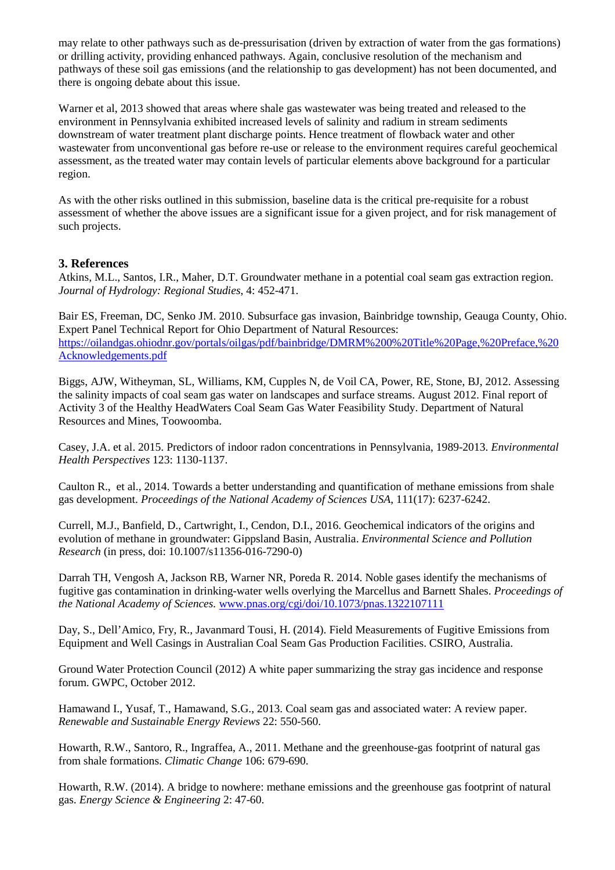may relate to other pathways such as de-pressurisation (driven by extraction of water from the gas formations) or drilling activity, providing enhanced pathways. Again, conclusive resolution of the mechanism and pathways of these soil gas emissions (and the relationship to gas development) has not been documented, and there is ongoing debate about this issue.

Warner et al, 2013 showed that areas where shale gas wastewater was being treated and released to the environment in Pennsylvania exhibited increased levels of salinity and radium in stream sediments downstream of water treatment plant discharge points. Hence treatment of flowback water and other wastewater from unconventional gas before re-use or release to the environment requires careful geochemical assessment, as the treated water may contain levels of particular elements above background for a particular region.

As with the other risks outlined in this submission, baseline data is the critical pre-requisite for a robust assessment of whether the above issues are a significant issue for a given project, and for risk management of such projects.

### **3. References**

Atkins, M.L., Santos, I.R., Maher, D.T. Groundwater methane in a potential coal seam gas extraction region. *Journal of Hydrology: Regional Studies*, 4: 452-471.

Bair ES, Freeman, DC, Senko JM. 2010. Subsurface gas invasion, Bainbridge township, Geauga County, Ohio. Expert Panel Technical Report for Ohio Department of Natural Resources: https://oilandgas.ohiodnr.gov/portals/oilgas/pdf/bainbridge/DMRM%200%20Title%20Page,%20Preface,%20 Acknowledgements.pdf

Biggs, AJW, Witheyman, SL, Williams, KM, Cupples N, de Voil CA, Power, RE, Stone, BJ, 2012. Assessing the salinity impacts of coal seam gas water on landscapes and surface streams. August 2012. Final report of Activity 3 of the Healthy HeadWaters Coal Seam Gas Water Feasibility Study. Department of Natural Resources and Mines, Toowoomba.

Casey, J.A. et al. 2015. Predictors of indoor radon concentrations in Pennsylvania, 1989-2013. *Environmental Health Perspectives* 123: 1130-1137.

Caulton R., et al., 2014. Towards a better understanding and quantification of methane emissions from shale gas development. *Proceedings of the National Academy of Sciences USA*, 111(17): 6237-6242.

Currell, M.J., Banfield, D., Cartwright, I., Cendon, D.I., 2016. Geochemical indicators of the origins and evolution of methane in groundwater: Gippsland Basin, Australia. *Environmental Science and Pollution Research* (in press, doi: 10.1007/s11356-016-7290-0)

Darrah TH, Vengosh A, Jackson RB, Warner NR, Poreda R. 2014. Noble gases identify the mechanisms of fugitive gas contamination in drinking-water wells overlying the Marcellus and Barnett Shales. *Proceedings of the National Academy of Sciences.* www.pnas.org/cgi/doi/10.1073/pnas.1322107111

Day, S., Dell'Amico, Fry, R., Javanmard Tousi, H. (2014). Field Measurements of Fugitive Emissions from Equipment and Well Casings in Australian Coal Seam Gas Production Facilities. CSIRO, Australia.

Ground Water Protection Council (2012) A white paper summarizing the stray gas incidence and response forum. GWPC, October 2012.

Hamawand I., Yusaf, T., Hamawand, S.G., 2013. Coal seam gas and associated water: A review paper. *Renewable and Sustainable Energy Reviews* 22: 550-560.

Howarth, R.W., Santoro, R., Ingraffea, A., 2011. Methane and the greenhouse-gas footprint of natural gas from shale formations. *Climatic Change* 106: 679-690.

Howarth, R.W. (2014). A bridge to nowhere: methane emissions and the greenhouse gas footprint of natural gas. *Energy Science & Engineering* 2: 47-60.